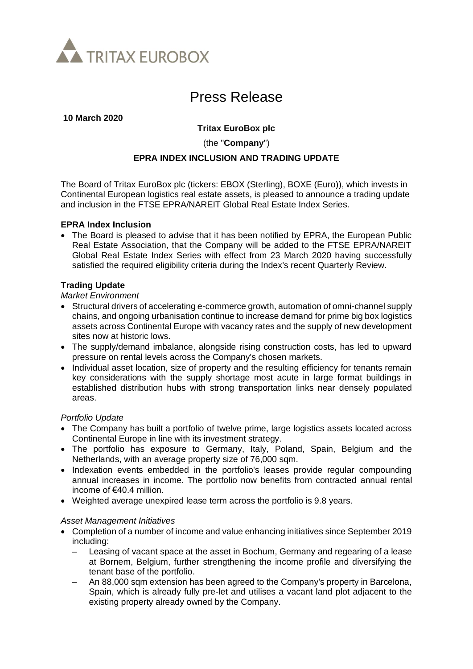

# Press Release

#### **10 March 2020**

# **Tritax EuroBox plc**

(the "**Company**")

## **EPRA INDEX INCLUSION AND TRADING UPDATE**

The Board of Tritax EuroBox plc (tickers: EBOX (Sterling), BOXE (Euro)), which invests in Continental European logistics real estate assets, is pleased to announce a trading update and inclusion in the FTSE EPRA/NAREIT Global Real Estate Index Series.

#### **EPRA Index Inclusion**

• The Board is pleased to advise that it has been notified by EPRA, the European Public Real Estate Association, that the Company will be added to the FTSE EPRA/NAREIT Global Real Estate Index Series with effect from 23 March 2020 having successfully satisfied the required eligibility criteria during the Index's recent Quarterly Review.

## **Trading Update**

### *Market Environment*

- Structural drivers of accelerating e-commerce growth, automation of omni-channel supply chains, and ongoing urbanisation continue to increase demand for prime big box logistics assets across Continental Europe with vacancy rates and the supply of new development sites now at historic lows.
- The supply/demand imbalance, alongside rising construction costs, has led to upward pressure on rental levels across the Company's chosen markets.
- Individual asset location, size of property and the resulting efficiency for tenants remain key considerations with the supply shortage most acute in large format buildings in established distribution hubs with strong transportation links near densely populated areas.

#### *Portfolio Update*

- The Company has built a portfolio of twelve prime, large logistics assets located across Continental Europe in line with its investment strategy.
- The portfolio has exposure to Germany, Italy, Poland, Spain, Belgium and the Netherlands, with an average property size of 76,000 sqm.
- Indexation events embedded in the portfolio's leases provide regular compounding annual increases in income. The portfolio now benefits from contracted annual rental income of €40.4 million.
- Weighted average unexpired lease term across the portfolio is 9.8 years.

#### *Asset Management Initiatives*

- Completion of a number of income and value enhancing initiatives since September 2019 including:
	- Leasing of vacant space at the asset in Bochum, Germany and regearing of a lease at Bornem, Belgium, further strengthening the income profile and diversifying the tenant base of the portfolio.
	- An 88,000 sqm extension has been agreed to the Company's property in Barcelona, Spain, which is already fully pre-let and utilises a vacant land plot adjacent to the existing property already owned by the Company.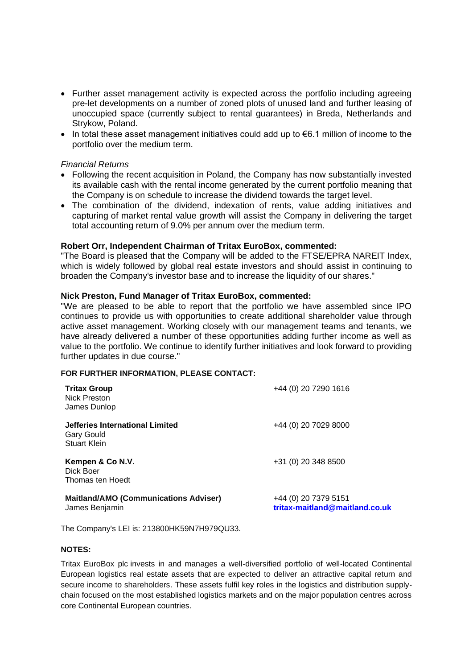- Further asset management activity is expected across the portfolio including agreeing pre-let developments on a number of zoned plots of unused land and further leasing of unoccupied space (currently subject to rental guarantees) in Breda, Netherlands and Strykow, Poland.
- In total these asset management initiatives could add up to  $\epsilon$ 6.1 million of income to the portfolio over the medium term.

#### *Financial Returns*

- Following the recent acquisition in Poland, the Company has now substantially invested its available cash with the rental income generated by the current portfolio meaning that the Company is on schedule to increase the dividend towards the target level.
- The combination of the dividend, indexation of rents, value adding initiatives and capturing of market rental value growth will assist the Company in delivering the target total accounting return of 9.0% per annum over the medium term.

#### **Robert Orr, Independent Chairman of Tritax EuroBox, commented:**

"The Board is pleased that the Company will be added to the FTSE/EPRA NAREIT Index, which is widely followed by global real estate investors and should assist in continuing to broaden the Company's investor base and to increase the liquidity of our shares."

#### **Nick Preston, Fund Manager of Tritax EuroBox, commented:**

"We are pleased to be able to report that the portfolio we have assembled since IPO continues to provide us with opportunities to create additional shareholder value through active asset management. Working closely with our management teams and tenants, we have already delivered a number of these opportunities adding further income as well as value to the portfolio. We continue to identify further initiatives and look forward to providing further updates in due course."

#### **FOR FURTHER INFORMATION, PLEASE CONTACT:**

| <b>Tritax Group</b><br>Nick Preston<br>James Dunlop                         | +44 (0) 20 7290 1616                                   |
|-----------------------------------------------------------------------------|--------------------------------------------------------|
| Jefferies International Limited<br><b>Gary Gould</b><br><b>Stuart Klein</b> | +44 (0) 20 7029 8000                                   |
| Kempen & Co N.V.<br>Dick Boer<br>Thomas ten Hoedt                           | +31 (0) 20 348 8500                                    |
| <b>Maitland/AMO (Communications Adviser)</b><br>James Benjamin              | +44 (0) 20 7379 5151<br>tritax-maitland@maitland.co.uk |

The Company's LEI is: 213800HK59N7H979QU33.

#### **NOTES:**

Tritax EuroBox plc invests in and manages a well-diversified portfolio of well-located Continental European logistics real estate assets that are expected to deliver an attractive capital return and secure income to shareholders. These assets fulfil key roles in the logistics and distribution supplychain focused on the most established logistics markets and on the major population centres across core Continental European countries.